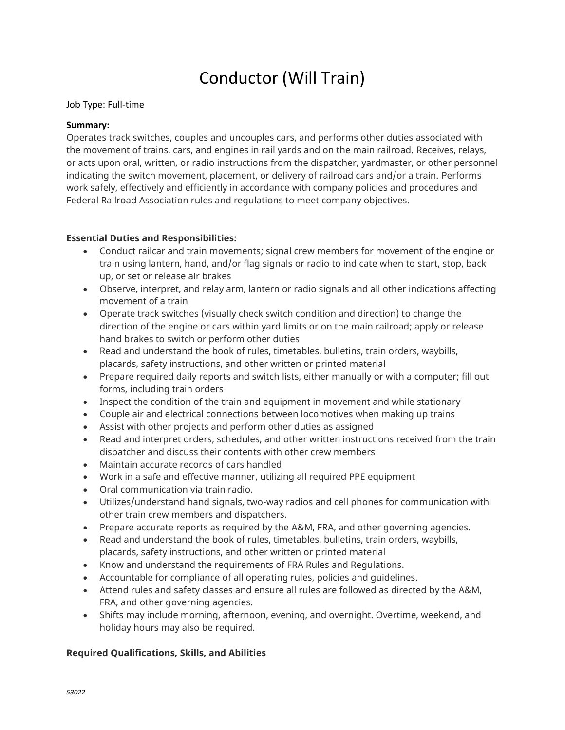# Conductor (Will Train)

## Job Type: Full-time

## **Summary:**

Operates track switches, couples and uncouples cars, and performs other duties associated with the movement of trains, cars, and engines in rail yards and on the main railroad. Receives, relays, or acts upon oral, written, or radio instructions from the dispatcher, yardmaster, or other personnel indicating the switch movement, placement, or delivery of railroad cars and/or a train. Performs work safely, effectively and efficiently in accordance with company policies and procedures and Federal Railroad Association rules and regulations to meet company objectives.

## **Essential Duties and Responsibilities:**

- Conduct railcar and train movements; signal crew members for movement of the engine or train using lantern, hand, and/or flag signals or radio to indicate when to start, stop, back up, or set or release air brakes
- Observe, interpret, and relay arm, lantern or radio signals and all other indications affecting movement of a train
- Operate track switches (visually check switch condition and direction) to change the direction of the engine or cars within yard limits or on the main railroad; apply or release hand brakes to switch or perform other duties
- Read and understand the book of rules, timetables, bulletins, train orders, waybills, placards, safety instructions, and other written or printed material
- Prepare required daily reports and switch lists, either manually or with a computer; fill out forms, including train orders
- Inspect the condition of the train and equipment in movement and while stationary
- Couple air and electrical connections between locomotives when making up trains
- Assist with other projects and perform other duties as assigned
- Read and interpret orders, schedules, and other written instructions received from the train dispatcher and discuss their contents with other crew members
- Maintain accurate records of cars handled
- Work in a safe and effective manner, utilizing all required PPE equipment
- Oral communication via train radio.
- Utilizes/understand hand signals, two-way radios and cell phones for communication with other train crew members and dispatchers.
- Prepare accurate reports as required by the A&M, FRA, and other governing agencies.
- Read and understand the book of rules, timetables, bulletins, train orders, waybills, placards, safety instructions, and other written or printed material
- Know and understand the requirements of FRA Rules and Regulations.
- Accountable for compliance of all operating rules, policies and guidelines.
- Attend rules and safety classes and ensure all rules are followed as directed by the A&M, FRA, and other governing agencies.
- Shifts may include morning, afternoon, evening, and overnight. Overtime, weekend, and holiday hours may also be required.

## **Required Qualifications, Skills, and Abilities**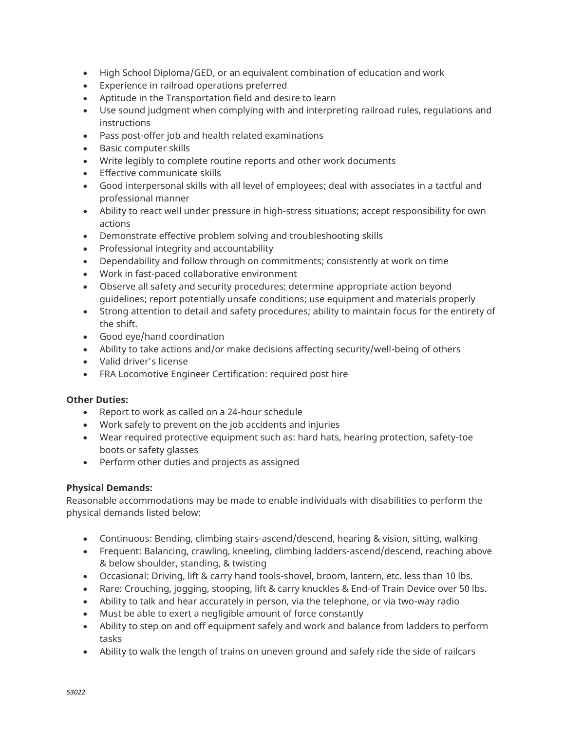- High School Diploma/GED, or an equivalent combination of education and work
- Experience in railroad operations preferred
- Aptitude in the Transportation field and desire to learn
- Use sound judgment when complying with and interpreting railroad rules, regulations and instructions
- Pass post-offer job and health related examinations
- Basic computer skills
- Write legibly to complete routine reports and other work documents
- Effective communicate skills
- Good interpersonal skills with all level of employees; deal with associates in a tactful and professional manner
- Ability to react well under pressure in high-stress situations; accept responsibility for own actions
- Demonstrate effective problem solving and troubleshooting skills
- Professional integrity and accountability
- Dependability and follow through on commitments; consistently at work on time
- Work in fast-paced collaborative environment
- Observe all safety and security procedures; determine appropriate action beyond guidelines; report potentially unsafe conditions; use equipment and materials properly
- Strong attention to detail and safety procedures; ability to maintain focus for the entirety of the shift.
- Good eye/hand coordination
- Ability to take actions and/or make decisions affecting security/well-being of others
- Valid driver's license
- FRA Locomotive Engineer Certification: required post hire

## **Other Duties:**

- Report to work as called on a 24-hour schedule
- Work safely to prevent on the job accidents and injuries
- Wear required protective equipment such as: hard hats, hearing protection, safety-toe boots or safety glasses
- Perform other duties and projects as assigned

## **Physical Demands:**

Reasonable accommodations may be made to enable individuals with disabilities to perform the physical demands listed below:

- Continuous: Bending, climbing stairs-ascend/descend, hearing & vision, sitting, walking
- Frequent: Balancing, crawling, kneeling, climbing ladders-ascend/descend, reaching above & below shoulder, standing, & twisting
- Occasional: Driving, lift & carry hand tools-shovel, broom, lantern, etc. less than 10 lbs.
- Rare: Crouching, jogging, stooping, lift & carry knuckles & End-of Train Device over 50 lbs.
- Ability to talk and hear accurately in person, via the telephone, or via two-way radio
- Must be able to exert a negligible amount of force constantly
- Ability to step on and off equipment safely and work and balance from ladders to perform tasks
- Ability to walk the length of trains on uneven ground and safely ride the side of railcars